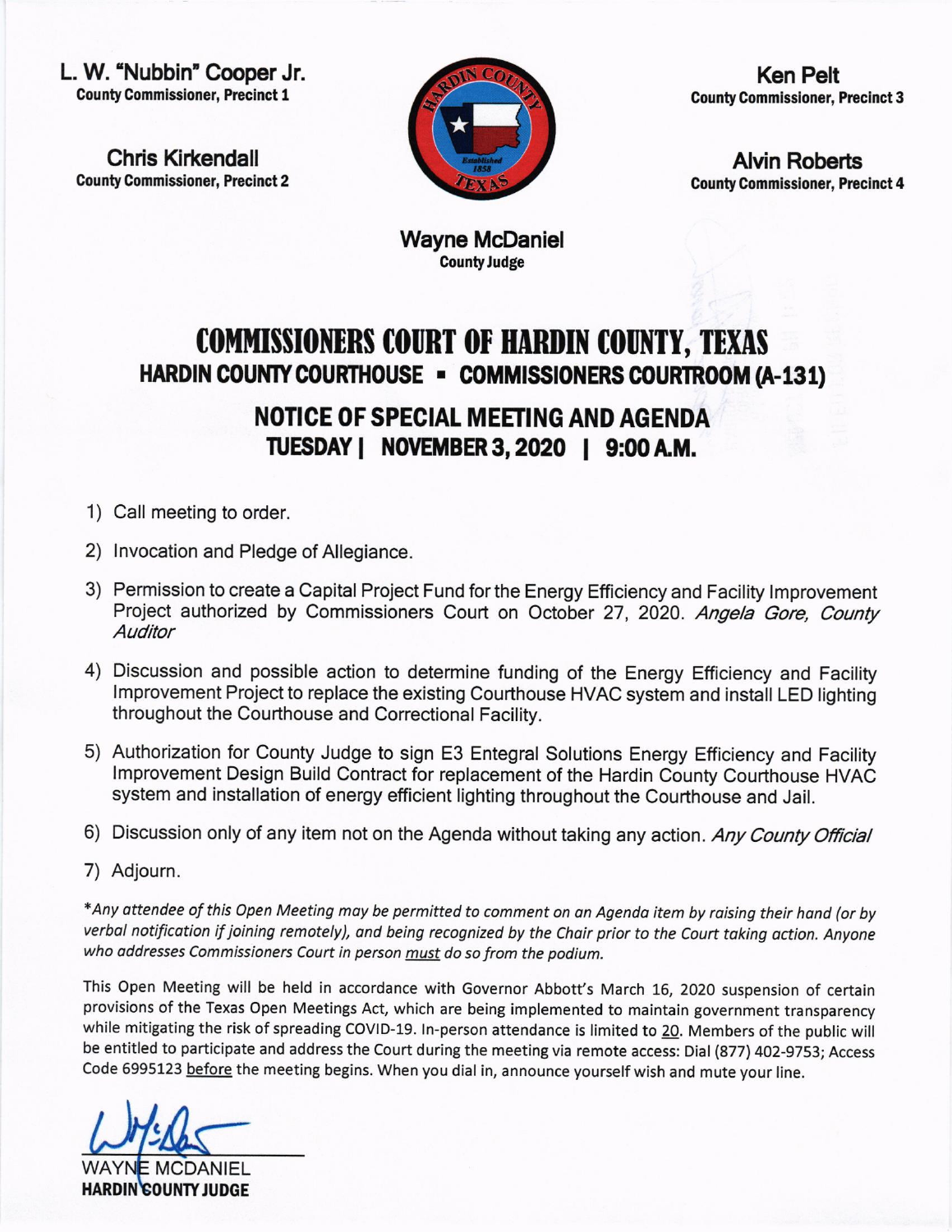L. W. "Nubbin" Cooper Jr. County Commissioner, Precinct 1

Chris Kirkendall County Commissioner, Precinct 2



Ken Pelt County Commissioner, Precinct 3

Alvin Roberts County Commlssloner, Precinct 4

Wayne McDaniel CountyJudge

## COMMISSIONERS COURT OF HARDIN COUNTY, TEXAS HARDIN COUNTY COURTHOUSE - COMMISSIONERS COURTROOM (A-131)

NOTICE OF SPECIAL MEETING AND AGENDA TUESDAY | NOVEMBER 3, 2020 | 9:00 A.M.

- 1) Call meeting to order.
- 2) lnvocation and Pledge of Allegiance.
- 3) Permission to create a Capital Project Fund for the Energy Efficiency and Facility lmprovement Project authorized by Commissioners Court on October 27, 2020. Angela Gore, County **Auditor**
- 4) Discussion and possible action to determine funding of the Energy Efficiency and Facility lmprovement Project to replace the existing Courthouse HVAC system and install LED lighting throughout the Courthouse and Correctional Facility.
- 5) Authorization for County Judge to sign E3 Entegral Solutions Energy Efficiency and Facility lmprovement Design Build Contract for replacement of the Hardin County Courthouse HVAC system and installation of energy efficient lighting throughout the Courthouse and Jail.
- 6) Discussion only of any item not on the Agenda without taking any action. Any County Official
- 7) Adjourn.

\*Any attendee of this Open Meeting may be permitted to comment on an Agenda item by raising their hand (or by verbal notification if joining remotely), and being recognized by the Chair prior to the Court taking action. Anyone who addresses Commissioners Court in person must do so from the podium.

This Open Meeting will be held in accordance with Governor Abbott's March 16, 2020 suspension of certain provisions of the Texas Open Meetings Act, which are being implemented to maintain government transparency while mitigating the risk of spreading COVID-19. In-person attendance is limited to 20. Members of the public will be entitled to participate and address the Court during the meeting via remote access: Dial (877) 402-9753; Access Code 6995123 before the meeting begins. When you dial in, announce yourself wish and mute your line.

।<br>८

WAYN<mark>E MCDANIEL</mark> HARDIN COUNTY JUDGE